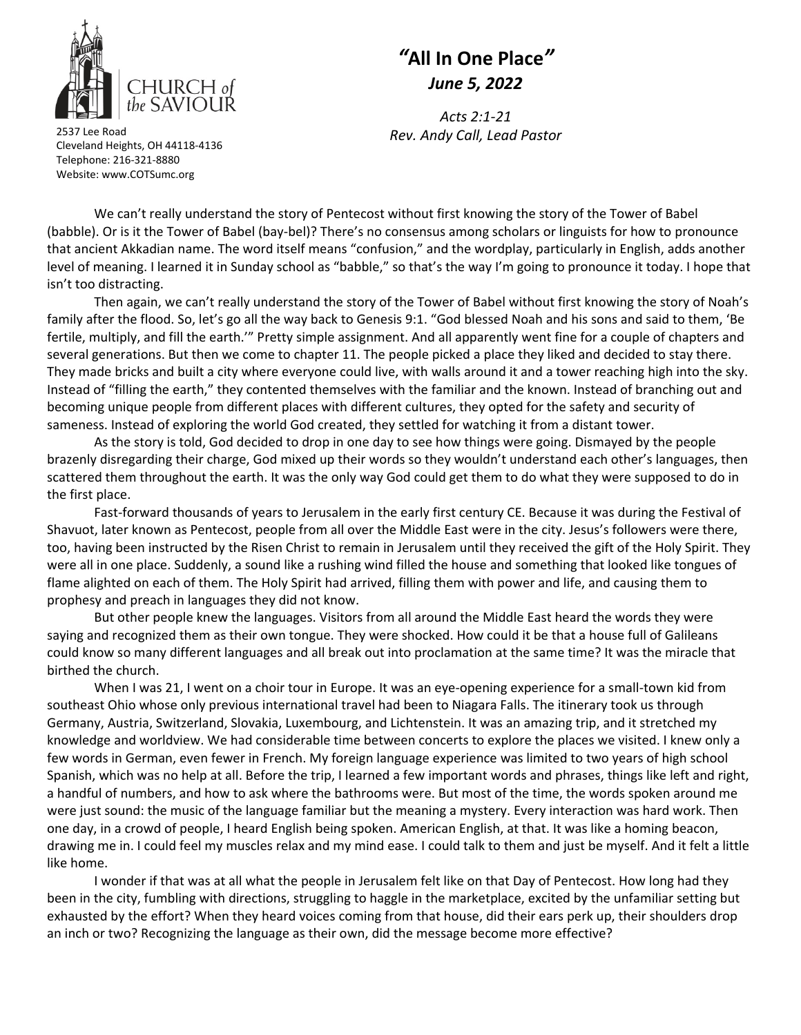

## *"***All In One Place***" June 5, 2022*

*Acts 2:1‐21*

*Rev. Andy Call, Lead Pastor* <sup>2537</sup> Lee Road Cleveland Heights, OH 44118‐4136 Telephone: 216‐321‐8880 Website: www.COTSumc.org

We can't really understand the story of Pentecost without first knowing the story of the Tower of Babel (babble). Or is it the Tower of Babel (bay‐bel)? There's no consensus among scholars or linguists for how to pronounce that ancient Akkadian name. The word itself means "confusion," and the wordplay, particularly in English, adds another level of meaning. I learned it in Sunday school as "babble," so that's the way I'm going to pronounce it today. I hope that isn't too distracting.

Then again, we can't really understand the story of the Tower of Babel without first knowing the story of Noah's family after the flood. So, let's go all the way back to Genesis 9:1. "God blessed Noah and his sons and said to them, 'Be fertile, multiply, and fill the earth.'" Pretty simple assignment. And all apparently went fine for a couple of chapters and several generations. But then we come to chapter 11. The people picked a place they liked and decided to stay there. They made bricks and built a city where everyone could live, with walls around it and a tower reaching high into the sky. Instead of "filling the earth," they contented themselves with the familiar and the known. Instead of branching out and becoming unique people from different places with different cultures, they opted for the safety and security of sameness. Instead of exploring the world God created, they settled for watching it from a distant tower.

As the story is told, God decided to drop in one day to see how things were going. Dismayed by the people brazenly disregarding their charge, God mixed up their words so they wouldn't understand each other's languages, then scattered them throughout the earth. It was the only way God could get them to do what they were supposed to do in the first place.

Fast-forward thousands of years to Jerusalem in the early first century CE. Because it was during the Festival of Shavuot, later known as Pentecost, people from all over the Middle East were in the city. Jesus's followers were there, too, having been instructed by the Risen Christ to remain in Jerusalem until they received the gift of the Holy Spirit. They were all in one place. Suddenly, a sound like a rushing wind filled the house and something that looked like tongues of flame alighted on each of them. The Holy Spirit had arrived, filling them with power and life, and causing them to prophesy and preach in languages they did not know.

But other people knew the languages. Visitors from all around the Middle East heard the words they were saying and recognized them as their own tongue. They were shocked. How could it be that a house full of Galileans could know so many different languages and all break out into proclamation at the same time? It was the miracle that birthed the church.

When I was 21, I went on a choir tour in Europe. It was an eye-opening experience for a small-town kid from southeast Ohio whose only previous international travel had been to Niagara Falls. The itinerary took us through Germany, Austria, Switzerland, Slovakia, Luxembourg, and Lichtenstein. It was an amazing trip, and it stretched my knowledge and worldview. We had considerable time between concerts to explore the places we visited. I knew only a few words in German, even fewer in French. My foreign language experience was limited to two years of high school Spanish, which was no help at all. Before the trip, I learned a few important words and phrases, things like left and right, a handful of numbers, and how to ask where the bathrooms were. But most of the time, the words spoken around me were just sound: the music of the language familiar but the meaning a mystery. Every interaction was hard work. Then one day, in a crowd of people, I heard English being spoken. American English, at that. It was like a homing beacon, drawing me in. I could feel my muscles relax and my mind ease. I could talk to them and just be myself. And it felt a little like home.

I wonder if that was at all what the people in Jerusalem felt like on that Day of Pentecost. How long had they been in the city, fumbling with directions, struggling to haggle in the marketplace, excited by the unfamiliar setting but exhausted by the effort? When they heard voices coming from that house, did their ears perk up, their shoulders drop an inch or two? Recognizing the language as their own, did the message become more effective?